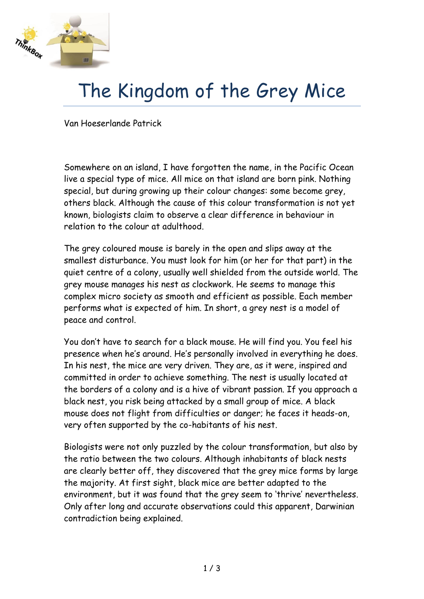

## The Kingdom of the Grey Mice

Van Hoeserlande Patrick

Somewhere on an island, I have forgotten the name, in the Pacific Ocean live a special type of mice. All mice on that island are born pink. Nothing special, but during growing up their colour changes: some become grey, others black. Although the cause of this colour transformation is not yet known, biologists claim to observe a clear difference in behaviour in relation to the colour at adulthood.

The grey coloured mouse is barely in the open and slips away at the smallest disturbance. You must look for him (or her for that part) in the quiet centre of a colony, usually well shielded from the outside world. The grey mouse manages his nest as clockwork. He seems to manage this complex micro society as smooth and efficient as possible. Each member performs what is expected of him. In short, a grey nest is a model of peace and control.

You don't have to search for a black mouse. He will find you. You feel his presence when he's around. He's personally involved in everything he does. In his nest, the mice are very driven. They are, as it were, inspired and committed in order to achieve something. The nest is usually located at the borders of a colony and is a hive of vibrant passion. If you approach a black nest, you risk being attacked by a small group of mice. A black mouse does not flight from difficulties or danger; he faces it heads-on, very often supported by the co-habitants of his nest.

Biologists were not only puzzled by the colour transformation, but also by the ratio between the two colours. Although inhabitants of black nests are clearly better off, they discovered that the grey mice forms by large the majority. At first sight, black mice are better adapted to the environment, but it was found that the grey seem to 'thrive' nevertheless. Only after long and accurate observations could this apparent, Darwinian contradiction being explained.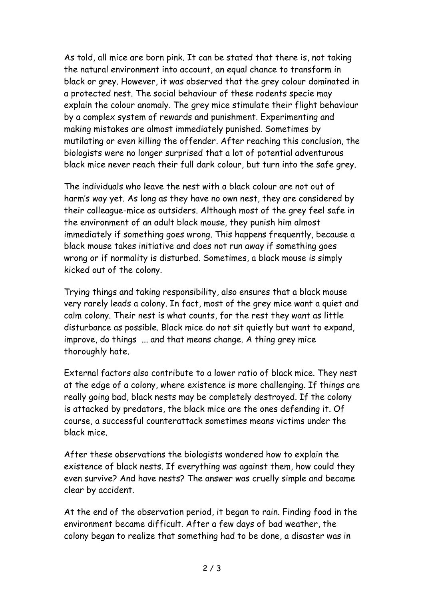As told, all mice are born pink. It can be stated that there is, not taking the natural environment into account, an equal chance to transform in black or grey. However, it was observed that the grey colour dominated in a protected nest. The social behaviour of these rodents specie may explain the colour anomaly. The grey mice stimulate their flight behaviour by a complex system of rewards and punishment. Experimenting and making mistakes are almost immediately punished. Sometimes by mutilating or even killing the offender. After reaching this conclusion, the biologists were no longer surprised that a lot of potential adventurous black mice never reach their full dark colour, but turn into the safe grey.

The individuals who leave the nest with a black colour are not out of harm's way yet. As long as they have no own nest, they are considered by their colleague-mice as outsiders. Although most of the grey feel safe in the environment of an adult black mouse, they punish him almost immediately if something goes wrong. This happens frequently, because a black mouse takes initiative and does not run away if something goes wrong or if normality is disturbed. Sometimes, a black mouse is simply kicked out of the colony.

Trying things and taking responsibility, also ensures that a black mouse very rarely leads a colony. In fact, most of the grey mice want a quiet and calm colony. Their nest is what counts, for the rest they want as little disturbance as possible. Black mice do not sit quietly but want to expand, improve, do things ... and that means change. A thing grey mice thoroughly hate.

External factors also contribute to a lower ratio of black mice. They nest at the edge of a colony, where existence is more challenging. If things are really going bad, black nests may be completely destroyed. If the colony is attacked by predators, the black mice are the ones defending it. Of course, a successful counterattack sometimes means victims under the black mice.

After these observations the biologists wondered how to explain the existence of black nests. If everything was against them, how could they even survive? And have nests? The answer was cruelly simple and became clear by accident.

At the end of the observation period, it began to rain. Finding food in the environment became difficult. After a few days of bad weather, the colony began to realize that something had to be done, a disaster was in